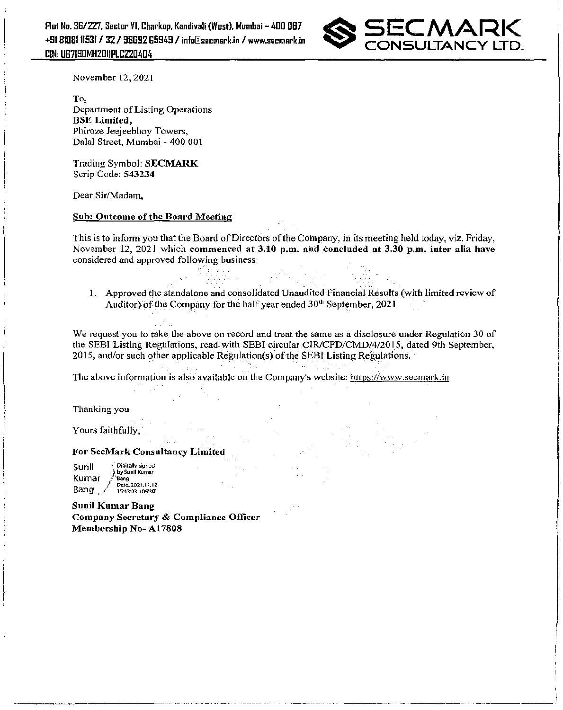Plot No. 36/227, Sector VI, Charkop, Kandivali (West), Mumbai - 400 O67 +9181D8111531/32/98Ei92 Ei5949 I info@lsecmark.in I www.secmark.in CIN, UG7ISUMH2D1IPlCZZU4U4



November 12,2021

To, Department of Listing Operations BSE Limited, phiroze leejeebhoy Towers, Dalal Street, Mumbai - 400 001

Trading Symbol: SECMARK Scrip Code: 543234

Dear Sir/Madam,

### Sub: Outcome of the Board Meeting

This is to inform you that the Board of Directors of the Company, in its meeting held today, viz. Friday, November 12, 2021 which commenced at 3.10 p.m. and concluded at 3.30 p.m. inter alia have considered and approved following business:

1. Approved the standalone and consolidated Unaudited Financial Results (with limited review of Auditor) of the Company for the half year ended  $30<sup>th</sup>$  September, 2021

We request you to take the above on record and treat the same as a disclosure under Regulation 30 of the SEBI Listing Regulations, read with SEBI circular CIR/CFD/CMD/4/2015, dated 9th September, 201S, and/or such other applicable Regulation(s) of the SEBJ Listing Regulations.

The above information is also available on the Company's website: https://www.secmark.in

Thanking you

Yours faithfully,

For SecMark Consultancy Limited

Sunil tDigitally signed by Sunil Kumar Kumar  $\ell$ <sup>1</sup>Bang <sup>&</sup>gt;Date:2021.11.12 Bang ,/ 15:43:03 +05'30'

Sunil Kumar Bang Company Secretary & Compliance Officer Membership No- AI7808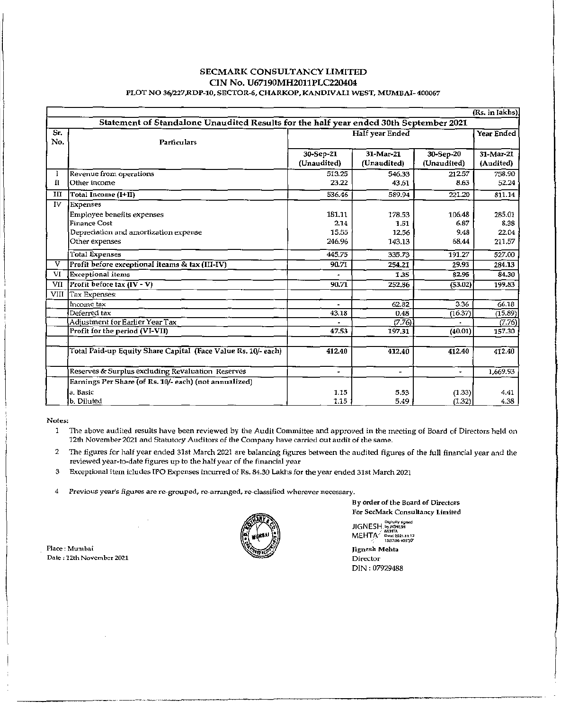### SECMARK CONSULTANCY LIMITED CIN No. U67190MH2011PLC220404 PLOT NO 36/227,RDP-I0, SECTOR-6, CHARKOP, KANDIVALI WEST, MUMBAI- 400067

|                                                                                       | (Rs. in lakhs)                                                                                                    |                                   |                                   |                                 |                                   |
|---------------------------------------------------------------------------------------|-------------------------------------------------------------------------------------------------------------------|-----------------------------------|-----------------------------------|---------------------------------|-----------------------------------|
| Statement of Standalone Unaudited Results for the half year ended 30th September 2021 |                                                                                                                   |                                   |                                   |                                 |                                   |
| Sr.<br>No.                                                                            | <b>Particulars</b>                                                                                                | Half year Ended                   |                                   |                                 | Year Ended                        |
|                                                                                       |                                                                                                                   | 30-Sep-21<br>(Unaudited)          | 31-Mar-21<br>(Unaudited)          | 30-Sep-20<br>(Unaudited)        | 31-Mar-21<br>(Audited)            |
| н                                                                                     | Revenue from operations<br>Other income                                                                           | 513.25<br>23.22                   | 546.33<br>43.61                   | 212.57<br>8.63                  | 758.90<br>52.24                   |
| ш                                                                                     | Total Income (I+II)                                                                                               | 536.46                            | 589.94                            | 221.20                          | 811.14                            |
| IV                                                                                    | Expenses<br>Employee benefits expenses<br>Finance Cost<br>Depreciation and amortization expense<br>Other expenses | 181.11<br>2.14<br>15.55<br>246.96 | 178.53<br>1.51<br>12.56<br>143.13 | 106.48<br>6.87<br>9.48<br>68.44 | 285.01<br>8.38<br>22.04<br>211.57 |
|                                                                                       | Total Expenses                                                                                                    | 445.75                            | 335.73                            | 191.27                          | 527.00                            |
| v                                                                                     | Profit before exceptional iteams & tax (III-IV)                                                                   | 90.71                             | 254.21                            | 29.93                           | 284.13                            |
| VI                                                                                    | <b>Exceptional</b> items                                                                                          | ۰                                 | 1.35                              | 82.95                           | 84.30                             |
| VII                                                                                   | $\text{Profit}$ before tax $(\text{IV} - \text{V})$                                                               | 90.71                             | 252.86                            | (53.02)                         | 199.83                            |
| VIII                                                                                  | Tax Expenses:                                                                                                     |                                   |                                   |                                 |                                   |
|                                                                                       | Income tax                                                                                                        | $\qquad \qquad \blacksquare$      | 62.82                             | 3.36                            | 66.18                             |
|                                                                                       | Deferred tax                                                                                                      | 43.18                             | 0.48                              | (16.37)                         | (15.89)                           |
|                                                                                       | Adjustment for Earlier Year Tax                                                                                   |                                   | (7.76)                            |                                 | (7.76)                            |
|                                                                                       | Profit for the period (VI-VII)                                                                                    | 47.53                             | 197,31                            | (40.01)                         | 157.30                            |
|                                                                                       | Total Paid-up Equity Share Capital (Face Value Rs. 10/- each)                                                     | 412.40                            | 412.40                            | 412.40                          | 412.40                            |
|                                                                                       | Reserves & Surplus excluding Revaluation Reserves                                                                 | ٠                                 | $\tilde{\phantom{a}}$             | ٠                               | 1,669.93                          |
|                                                                                       | Earnings Per Share (of Rs. 10/- each) (not annualized)                                                            |                                   |                                   |                                 |                                   |
|                                                                                       | a. Basic                                                                                                          | 1.15                              | 5.53                              | (1.33)                          | 4.41                              |
|                                                                                       | b. Diluted                                                                                                        | 1.15                              | 5.49                              | (1.32)                          | 4.38                              |

Notes:

1 The above audited results have been reviewed by the Audit Committee and approved in the meeting of Board of Directors held on 12th November 2021 and Statutory Auditors of the Company have carried out audit of the same.

- 2 The figures for half year ended 31st March 2021 are balancing figures between the audited figures of the full financial year and the reviewed year-to-date figures up to the half year of the financial year
- 3 Exceptional item ic1udes [PO Expenses incurred of Rs. 84.30 Lakhs for the year ended 31st March 2021
- 4 Previous year's figures are re-grouped, re-arranged, re-c1assified wherever necessary.



By order of the Board of Directors For SccMark Consultancy Limited

""Ie,"'''''''' JIGNESH ""''''MESH .' MalTA MEHTA' Cot'.l'''.l1'' "~7","+<IS~0"

Jigncsl'Mehta Director DIN : 07929488

Place: Mumbai Dale; 12th November 2021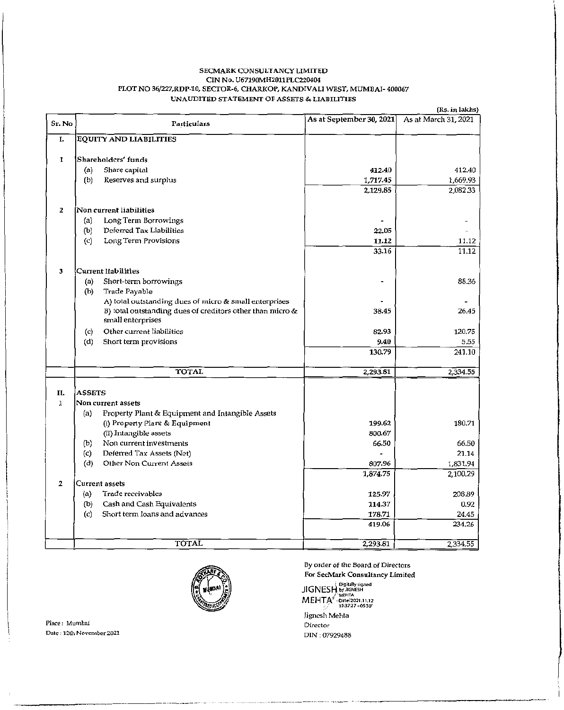#### SECMARK CONSULTANCY LIMITED CIN No. U67190MH2011PLC220404 PLOT NO 36/227, RDP-10, SECTOR-6, CHARKOP, KANDIVALI WEST, MUMBAI-400067 UNAUDITED STATEMENT OF ASSETS & LIABILITIES

(Rs. in lakhs)

| Sr. No       | Particulars                                                         | As at September 30, 2021) | As at March 31, 2021 |
|--------------|---------------------------------------------------------------------|---------------------------|----------------------|
| L.           | EQUITY AND LIABILITIES                                              |                           |                      |
|              |                                                                     |                           |                      |
| 1            | Shareholders' funds                                                 |                           |                      |
|              | Share capital<br>(a)                                                | 412.40                    | 412.40               |
|              | (b)<br>Reserves and surplus                                         | 1,717.45                  | 1,669.93             |
|              |                                                                     | 2,129.85                  | 2,082.33             |
| 2            | Non current liabilities                                             |                           |                      |
|              | Long Term Borrowings<br>(a)                                         |                           |                      |
|              | Deferred Tax Liabilities<br>(b)                                     | 22.05                     |                      |
|              | Long Term Provisions<br>$\left( c\right)$                           | 11.12                     | 11.12                |
|              |                                                                     | 33.16                     | 11.12                |
|              |                                                                     |                           |                      |
| 3            | Current Iiabilities                                                 |                           |                      |
|              | Short-term borrowings<br>(a)                                        |                           | 88.36                |
|              | (b)<br>Trade Payable                                                |                           |                      |
|              | A) total outstanding dues of nucro & small enterprises              |                           |                      |
|              | B) total outstanding dues of creditors other than micro &           | 38.45                     | 26.45                |
|              | small enterprises                                                   |                           |                      |
|              | Other current liabilities<br>$\langle c \rangle$                    | 82.93                     | 120.75               |
|              | (d)<br>Short term provisions                                        | 9.40                      | 5.55                 |
|              |                                                                     | 130.79                    | 241.10               |
|              | TOTAL                                                               | 2.293.81                  | 2,334.55             |
|              |                                                                     |                           |                      |
| П.           | <b>ASSETS</b>                                                       |                           |                      |
| $\mathbf{1}$ | Non current assets                                                  |                           |                      |
|              | Property Plant & Equipment and Intangible Assets<br>(a)             |                           |                      |
|              | (i) Property Plant & Equipment                                      | 199.62                    | 180.71               |
|              | (ii) Intangible assets                                              | 800.67                    |                      |
|              | Non current investments<br>(b)                                      | 66.50                     | 66.50<br>21.14       |
|              | (c)<br>Deferred Tax Assets (Net)<br>(d)<br>Other Non Current Assets | 807.96                    |                      |
|              |                                                                     | 1,874.75                  | 1,831.94<br>2,100.29 |
| 2            | Current assets                                                      |                           |                      |
|              | Trade receivables<br>(a)                                            | 125.97                    | 208.89               |
|              | Cash and Cash Equivalents<br>(b)                                    | 114.37                    | 0.92                 |
|              | $\left( c \right)$<br>Short term loans and advances                 | 178.71                    | 24.45                |
|              |                                                                     | 419.06                    | 234.26               |
|              |                                                                     |                           |                      |
|              | TOTAL                                                               | 2,293.81                  | 2,334.55             |



Place: Mumbai Date: 12th November 2021 By order of the Board of Directors For SecMark Consultancy Limited

 $\begin{array}{r} \left\{ \begin{array}{c} \text{Digitally signed} \\ \text{JIGNESH}, \text{by JIGNESH} \end{array} \right. \\ \text{MEHTA}^{\text{S}-\text{MEHTA}}_{\text{DSE2O21.11,12}} \\ \text{MEHTA}^{\text{S}-\text{Date2O21.11,12}}_{\text{D537:27+05'30'}} \end{array} \end{array}$ Jignesh Mehta

Director DIN: 07929488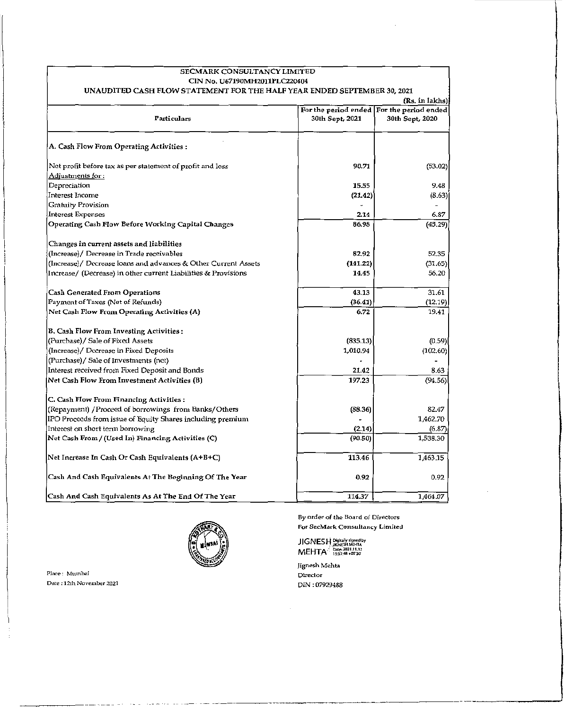| SECMARK CONSULTANCY LIMITED                                                            |                                                              |                     |
|----------------------------------------------------------------------------------------|--------------------------------------------------------------|---------------------|
| CIN No. U67190MH2011PLC220404                                                          |                                                              |                     |
| UNAUDITED CASH FLOW STATEMENT FOR THE HALF YEAR ENDED SEPTEMBER 30, 2021               |                                                              |                     |
|                                                                                        |                                                              | $(Rs.$ in $lakkls)$ |
| Particulars                                                                            | For the period ended For the period ended<br>30th Sept, 2021 | 30th Sept, 2020     |
| A. Cash Flow From Operating Activities :                                               |                                                              |                     |
| Net profit before tax as per statement of profit and loss<br><u> Adjustments for :</u> | 90.71                                                        | (53.02)             |
| Depreciation                                                                           | 15.55                                                        | 9.48                |
| Interest Income                                                                        | (21.42)                                                      | (8.63)              |
| Gratuity Provision                                                                     |                                                              |                     |
| Interest Expenses                                                                      | 2.14                                                         | 6.87                |
| Operating Cash Flow Before Working Capital Changes                                     | 86.98                                                        | (45.29)             |
| Changes in current assets and liabilities                                              |                                                              |                     |
| (Increase)/ Decrease in Trade receivables                                              | 82.92                                                        | 52.35               |
| (Increase)/ Decrease loans and advances & Other Current Assets                         | (141.22)                                                     | (31.65)             |
| [Increase/ (Decrease) in other current Liabilities & Provisions                        | 14.45                                                        | 56.20               |
| <b>Cash Generated From Operations</b>                                                  | 43.13                                                        | 31.61               |
| Payment of Taxes (Net of Refunds)                                                      | (36.41)                                                      | (12.19)             |
| Net Cash Flow From Operating Activities (A)                                            | 6.72                                                         | 19.41               |
| B. Cash Flow From Investing Activities:                                                |                                                              |                     |
| (Purchase)/ Sale of Fixed Assets                                                       | (835.13)                                                     | (0.59)              |
| (Increase)/ Decrease in Fixed Deposits):                                               | 1,010.94                                                     | (102.60)            |
| (Purchase)/ Sale of Investments (net)                                                  |                                                              |                     |
| Interest received from Fixed Deposit and Bonds                                         | 21.42                                                        | 8.63                |
| Net Cash Flow From Investment Activities (B)                                           | 197.23                                                       | (94.56)             |
| C. Cash Flow From Financing Activities:                                                |                                                              |                     |
| (Repayment) / Proceed of borrowings from Banks/Others                                  | (88.36)                                                      | 82.47               |
| IPO Proceeds from issue of Equity Shares including premium                             |                                                              | 1,462.70            |
| Interest on short term borrowing                                                       | (2.14)                                                       | (6.87)              |
| Net Cash From / (Used In) Financing Activities (C)                                     | (90.50)                                                      | 1,538.30            |
| Net Increase In Cash Or Cash Equivalents (A+B+C)                                       | 113.46                                                       | 1,463,15            |
| Cash And Cash Equivalents At The Beginning Of The Year                                 | 0.92                                                         | 0.92                |
| Cash And Cash Equivalents As At The End Of The Year                                    | 114.37                                                       | 1,464.07            |



Place: Mumbai DM.: 12lh *Novemhor Z021*  By order of the Board of Directors For SecMark Consultancy Limited

JIGNESH?:l'~,::,>;~g,'::'r"~b' MEHTA ~,:';:':o',~;::

Jignesh Mehta Director DIN : 07929488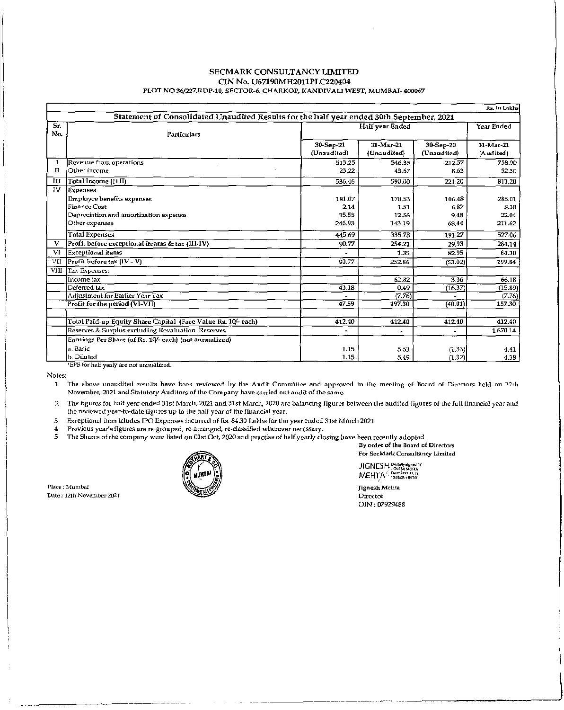#### **SECMARK CONSULTANCY LIMITED** CIN No. U67190MH2011PLC220404 PLOT NO 36/227, RDP-10, SECTOR-6, CHARKOP, KANDIVALI WEST, MUMBAI-400067

|                                                                                          | Rs. In Lakhs                                                  |                          |                          |                          |                        |  |
|------------------------------------------------------------------------------------------|---------------------------------------------------------------|--------------------------|--------------------------|--------------------------|------------------------|--|
| Statement of Consolidated Unaudited Results for the half year ended 30th September, 2021 |                                                               |                          |                          |                          |                        |  |
| Sr.<br>No.                                                                               | <b>Particulars</b>                                            |                          | Half year Ended          |                          |                        |  |
|                                                                                          |                                                               | 30-Sep-21<br>(Unaudited) | 31-Mar-21<br>(Unaudited) | 30-Sep-20<br>(Unaudited) | 31-Mar-21<br>(Audited) |  |
|                                                                                          | Revenue from operations                                       | 513.25                   | 546.33                   | 212.57                   | 758.90                 |  |
| П                                                                                        | Other income                                                  | 23.22                    | 43.67                    | 8.63                     | 52.30                  |  |
| ÌП                                                                                       | Total Income (I+II)                                           | 536.46                   | 590.00                   | 221.20                   | 811.20                 |  |
| 1V                                                                                       | Expenses                                                      |                          |                          |                          |                        |  |
|                                                                                          | <b>Employee benefits expenses</b>                             | 181.07                   | 178,53                   | 106.48                   | 285.01                 |  |
|                                                                                          | <b>Finance Cost</b>                                           | 2.14                     | 1.51                     | 6.87                     | 8.38                   |  |
|                                                                                          | Depreciation and amortization expense                         | 15.55                    | 12.56                    | 9.48                     | 22.04                  |  |
|                                                                                          | Other expenses                                                | 246.93                   | 143.19                   | 68.44                    | 211.62                 |  |
|                                                                                          | <b>Total Expenses</b>                                         | 445.69                   | 335.78                   | 191.27                   | 527.06                 |  |
| v                                                                                        | Profit before exceptional iteams & tax (III-IV)               | 90.77                    | 254.21                   | 29.93                    | 284.14                 |  |
| VI                                                                                       | <b>Exceptional</b> items                                      |                          | 1.35                     | 82.95                    | 84.30                  |  |
| VII                                                                                      | $\sqrt{\text{Profit before tax}(\text{IV} - \text{V})}$       | 90.77                    | 252.86                   | (53.02)                  | 199.84                 |  |
| VIII                                                                                     | Tax Expenses:                                                 |                          |                          |                          |                        |  |
|                                                                                          | Income tax                                                    |                          | 62.82                    | 3.36                     | 66.18                  |  |
|                                                                                          | Deferred tax                                                  | 43.18                    | 0.49                     | (16.37)                  | (15.89)                |  |
|                                                                                          | Adjustment for Earlier Year Tax                               |                          | (7.76)                   |                          | (7.76)                 |  |
|                                                                                          | Profit for the period (VI-VII)                                | 47.59                    | 197.30                   | (40.01)                  | 157.30                 |  |
|                                                                                          |                                                               |                          |                          |                          |                        |  |
|                                                                                          | Total Paid-up Equity Share Capital (Face Value Rs. 10/- each) | 412.40                   | 412.40                   | 412.40                   | 412,40                 |  |
|                                                                                          | Reserves & Surplus excluding Revaluation Reserves             | $\overline{a}$           |                          | ٠                        | 1,670.14               |  |
|                                                                                          | Earnings Per Share (of Rs. 10/- each) (not annualized)        |                          |                          |                          |                        |  |
|                                                                                          | a. Basic                                                      | 1.15                     | 5.53                     | (1.33)                   | 4.41                   |  |
|                                                                                          | b. Diluted<br>$\overline{m}$                                  | 1.15                     | 5.49                     | (1.32)                   | 4.38                   |  |

'EPS for half yealy are not annualized.

Notes:

1 The above unaudited results have been reviewed by the Audit Committee and approved in the meeting of Board of Directors held on 12th November, 2021 and Statutory Auditors of the Company have carried out audit of the same.

- 2 The figures for half year ended 31st March, 2021 and 31st March, 2020 are balancing figures between the audited figures of the full financial year and the reviewed year-to-date figures up to the half year of the financial year.
- Exceptional item icludes IPO Expenses incurred of Rs. 84.30 Lakhs for the year ended 31st March 2021  $\bf 3$

Previous year's figures are re-grouped, re-arranged, re-classified wherever necessary. 4

5 The Sharcs of the company were listed on 01st Oct, 2020 and practise of half yearly closing have been recently adopted

By order of the Board of Directors For SecMark Consultancy Limited

JIGNESH Pigitally signed by MEHTA Peter 2021.11.12

Jignesh Mehta Director DIN: 07929488

Place : Mumbai Date: 12th November 2021

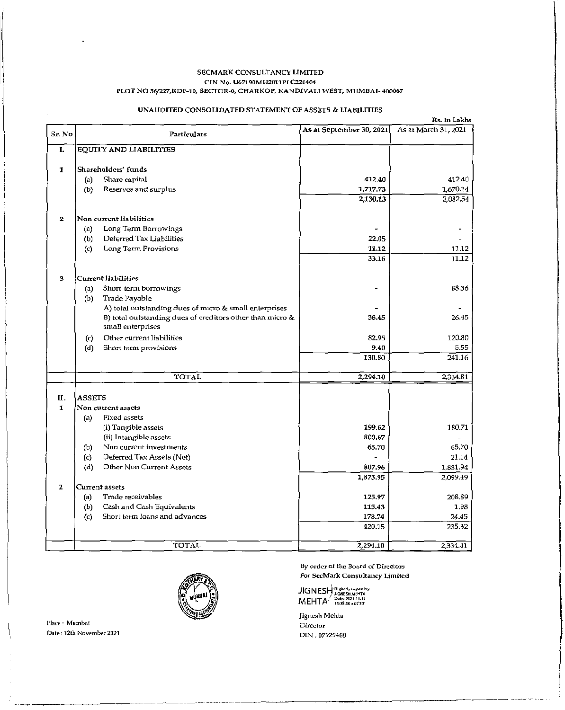#### SECMARK CONSULTANCY LIMITED CIN No. U67190MH2011PLC220404 PLOT NO 36/227,RDP-l0, SECfOR-6, CHARKOP, KANDIVALI WEST, MUMBAI- 400067

### UNAUDITED CONSOLIDATED STATEMENT OF ASSETS & LIABILITIES

| Sr. No       | Particulars                                                                    | As at September 30, 2021 | Rs. In Lakhs<br>As at March 31, 2021 |
|--------------|--------------------------------------------------------------------------------|--------------------------|--------------------------------------|
| I.           | <b>EQUITY AND LIABILITIES</b>                                                  |                          |                                      |
| 1            | Shareholders' funds                                                            |                          |                                      |
|              | Share capital<br>(a)                                                           | 412.40                   | 412.40                               |
|              | (b)<br>Reserves and surplus                                                    | 1,717.73                 | 1,670.14                             |
|              |                                                                                | 2,130.13                 | 2,082.54                             |
| $\mathbf{z}$ | Non current liabilities                                                        |                          |                                      |
|              | Long Term Borrowings<br>(a)                                                    |                          |                                      |
|              | Deferred Tax Liabilities<br>(b)                                                | 22.05                    |                                      |
|              | Long Term Provisions<br>(c)                                                    | 11.12                    | 11.12                                |
|              |                                                                                | 33.16                    | 11.12                                |
| 3            | <b>Current liabilities</b>                                                     |                          |                                      |
|              | Short-term borrowings<br>(a)                                                   |                          | 88.36                                |
|              | Trade Payable<br>(b)                                                           |                          |                                      |
|              | A) total outstanding dues of micro & small enterprises                         |                          |                                      |
|              | B) total outstanding dues of creditors other than micro &<br>small enterprises | 38.45                    | 26.45                                |
|              | Other current liabilities<br>(c)                                               | 82.95                    | 120.80                               |
|              | (d)<br>Short term provisions                                                   | 9,40                     | 5.55                                 |
|              |                                                                                | 130.80                   | 241.16                               |
|              | <b>TOTAL</b>                                                                   | 2,294.10                 | 2,334.81                             |
| II.          | <b>ASSETS</b>                                                                  |                          |                                      |
| 1            | Non current assets                                                             |                          |                                      |
|              | Fixed assets<br>(a)                                                            |                          |                                      |
|              | (i) Tangible assets                                                            | 199.62                   | 180.71                               |
|              | (ii) Intangible assets                                                         | 800.67                   |                                      |
|              | Non current investments<br>(b)                                                 | 65.70                    | 65.70                                |
|              | Deferred Tax Assets (Net)<br>(c)                                               |                          | 21.14                                |
|              | Other Non Current Assets<br>(d)                                                | 807.96<br>1,873.95       | 1,831.94                             |
| 2            | Current assets                                                                 |                          | 2,099.49                             |
|              | Trade receivables<br>(a)                                                       | 125.97                   | 208.89                               |
|              | Cash and Cash Equivalents<br>(b)                                               | 115.43                   | 1,98                                 |
|              | Short term loans and advances<br>$\left( c\right)$                             | 178.74                   | 24.45                                |
|              |                                                                                | 420.15                   | 235.32                               |
|              | <b>TOTAL</b>                                                                   | 2,294.10                 | 2.334.81                             |



By order of the Board of Directors For SecMark Consultancy Limited

JIGNESH PISIMIYA gred by MEHTA<sup>2</sup> - Date: 2021.11.12

Jigncsh Mehta **Director** DIN ; 07929488

Place: Mumbai Date: 12th November 2021

 $\left\{ \right.$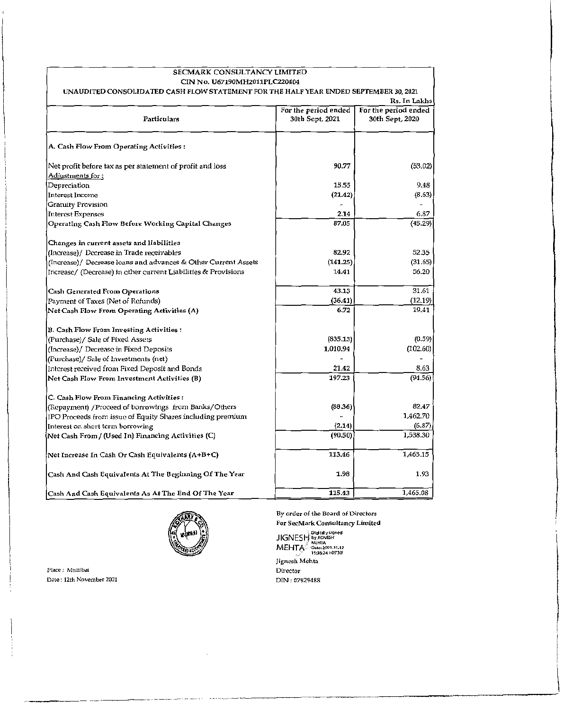| SECMARK CONSULTANCY LIMITED                                                            |                                         |                                         |
|----------------------------------------------------------------------------------------|-----------------------------------------|-----------------------------------------|
| CIN No. U67190MH2011PLC220404                                                          |                                         |                                         |
| UNAUDITED CONSOLIDATED CASH FLOW STATEMENT FOR THE HALF YEAR ENDED SEPTEMBER 30, 2021  |                                         |                                         |
|                                                                                        |                                         | Rs. In Lakhs                            |
| Particulars                                                                            | For the period ended<br>30th Sept, 2021 | For the period ended<br>30th Sept, 2020 |
| A. Cash Flow From Operating Activities :                                               |                                         |                                         |
| Net profit before tax as per statement of profit and loss<br><u> Adjustments for :</u> | 90.77                                   | (53.02)                                 |
| Depreciation                                                                           | 15.55                                   | 9.48                                    |
| <b>Interest Income</b>                                                                 | (21.42)                                 | (8.63)                                  |
| Gratuity Provision                                                                     |                                         |                                         |
| <b>Interest Expenses</b>                                                               | 2.14                                    | 6.87                                    |
| Operating Cash Flow Before Working Capital Changes                                     | 87.05                                   | (45.29)                                 |
| Changes in current assets and liabilities                                              |                                         |                                         |
| (Increase)/ Decrease in Trade receivables                                              | 82.92                                   | 52.35                                   |
| (Increase)/ Decrease loans and advances & Other Current Assets                         | (141.25)                                | (31.65)                                 |
| Increase/ (Decrease) in other current Liabilities & Provisions                         | 14.41                                   | 56.20                                   |
| <b>Cash Generated From Operations</b>                                                  | 43.13                                   | 31.61                                   |
| Payment of Taxes (Net of Refunds)                                                      | (36.41)                                 | (12.19)                                 |
| Net Cash Flow From Operating Activities (A)                                            | 6.72                                    | 19,41                                   |
| B. Cash Flow From Investing Activities:                                                |                                         |                                         |
| (Purchase)/ Sale of Fixed Assets                                                       | (835.13)                                | (0.59)                                  |
| (Increase)/ Decrease in Fixed Deposits                                                 | 1,010.94                                | (102.60)                                |
| (Purchase)/ Sale of Investments (net)                                                  |                                         |                                         |
| Interest received from Fixed Deposit and Bonds                                         | 21.42                                   | 8.63                                    |
| Net Cash Flow From Investment Activities (B)                                           | 197.23                                  | (94.56)                                 |
| C. Cash Flow From Financing Activities:                                                |                                         |                                         |
| (Repayment) / Proceed of borrowings from Banks/Others                                  | (88.36)                                 | 82.47                                   |
| IPO Proceeds from issue of Equity Shares including premium                             |                                         | 1,462.70                                |
| Interest on short term borrowing                                                       | (2.14)                                  | (6.87)                                  |
| Net Cash From / (Used In) Financing Activities (C)                                     | (90.50)                                 | 1,538.30                                |
| [Net Increase In Cash Or Cash Equivalents (A+B+C)]                                     | 113.46                                  | 1,463.15                                |
| Cash And Cash Equivalents At The Beginning Of The Year                                 | 1.98                                    | 1.93                                    |
| Cash And Cash Equivalents As At The End Of The Year                                    | 115.43                                  | 1,465.08                                |



By order of the Board of Directors For SecMark Consultancy Limited

olgitally signed<br>JIGNESH by Jignesh MEHTA Date: 2021.11.12<br>15:36:24 + 05'30' Jignesh Mehta Director DIN; *07929488* 

 $\mathit{Place}:$  Mumbai Date, 12th November 2021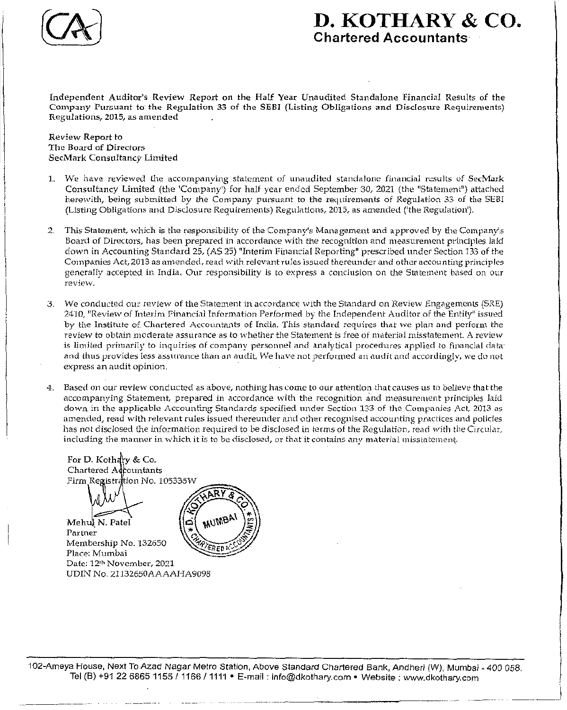

## **D. KOTHARY &** co. Chartered Accountants

Independent Auditor's Review Report on the Half Year Unaudited Standalone Financial Results of the Company Pursuant to the Regulntion 33 of the SEBI (Listing Obligations and Disclosure Requirements) Regulations, 2015, as amended

### Review Report to The Board of Directors SecMark Consultancy Limited

- 1. We have reviewed the accompanying statement of unaudited standalone financial results of SecMark Consultancy Limited (the 'Company') for half year ended September 30, 2021 (the "Statement") attached herewith, being submitted by the Company pursuant to the requirements of Regulation 33 of the SEBI (Listing Obligations and Disclosure Requirements) Regulations, 2015, as amended ('the Regulation').
- 2. This Statement, which is the responsibility of the Company's Management and approved by the Company's Board of Directors, has been prepared in accordance with the recognition and measurement principles laid down in Accounting Standard 25, (AS 25) "Interim Financial Reporting" prescribed under Section 133 of the Companies Act, 2013 as amended, read with relevant rules issued thereunder and other accounting principles generally accepted in India. Our responsibility is to express a conclusion on the Statement based on our review.
- 3. We conducted our review of the Statement in accordance with the Standard on Review Engagements (SRE) 2410, "Review of Interim Financial Information Performed by the Independent Auditor of the Entity" issued by the Institute of Chartered Accountants of India. This standard requires that we plan and perform the review to obtain moderate assurance as to whether the Statement is free of material misstatement. A review is limited primarily to inquiries of company personnel and analytical procedures applied to financial data: and thus provides less assurance than an audit. We have not performed an audit and accordingly, we do not express an audit opinion.
- 4. Based on our review conducted as above, nothing has come to our attention that causes us to believe that the accompanying Statement, prepared in accordance with the recognition and measurement principles laid down in the applicable Accounting Standards specified under Section 133 of the Companies Act, 2013 as amended, read with relevant rules issued thereunder and other recognised accounting practices and policies has not disclosed the information required to be disclosed in terms of the Regulation, read with the Circular, including the manner in which it is to be disclosed, or that it contains any material misstatement.

For D. Kothary & Co. Chartered Accountants Firm Registration No. 105335W Mehul N. Patel Partner Membership No. 132650 Place: Mumbai Date: 12<sup>th</sup> November, 2021 UDIN No. 21132650AAAAHA9098

102-Ameya House, Next To Azad Nagar Metro Station, Above Standard Chartered Bank, Andheri (W), Mumbai - 400 058. Tel (8) +91 226865 1155/1166/ **1111 •** E-mail: info@dkothary.com • Website; www.dkothary.com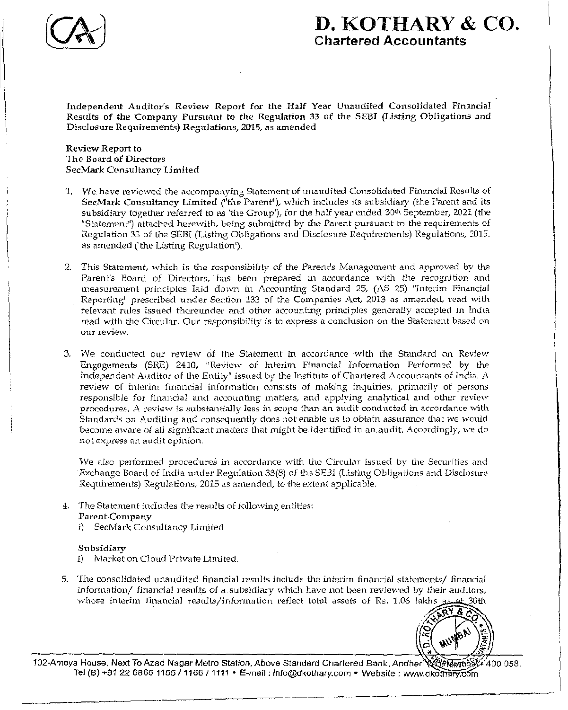

# D. KOTHARY & co. Chartered Accountants

Independent Auditor's Review Report for the Half Year Unaudited Consolidated Financial Results of the Company Pursuant to the Regulation 33 of the SEBI (Listing Obligations and Disclosure Requirements) Regulations, 2015, as amended

Review Report to The Board of Directors SccMark Consultancy limited

- 1. We have reviewed the accompanying Statement of unaudited Consolidated Financial Results of SecMark Consultancy Limited ("the Parent"), which includes its subsidiary (the Parent and its subsidiary together referred to as 'the Group'), for the half year ended 30<sup>th</sup> September, 2021 (the "Statement") attached herewith, being submitted by the Parent pursuant to the requirements of Regulation 33 of the SEBI (Listing Obligations and Disclosure Requirements) Regulations, 2015, as amended ('the Listing Regulation').
- 2. This Statement, which is the responsibility of the Parent's Management and approved by the Parent's Board of Directors, has been prepared in accordance with the recognition and measurement principles laid down in Accounting Standard 25, (AS 25) "Interim Financial Reporting" prescribed under Section 133 of the Companies Act, 2013 as amended, read with relevant rules issued thereunder and other accounting principles generally accepted in India read with the Circular. Our responsibility is to express a conclusion on the Statement based on our review.
- 3. We conducted our review of the Statement in accordance with the Standard on Review Engagements (SRE) 2410, "Review of Interim Financial Information Performed by the Independent Auditor of the Entity" issued by the Institute of Chartered Accountants of India. A review of interim financial information consists of making inquiries, primarily of persons responsible for financial and accounting matters, and applying analytical and other review procedures. A review is substantially less in scope than an audit conducted in accordance with Standards on Auditing and consequently does not enable us to obtain assurance that we would become aware of all significant matters that might be identified in an audit. Accordingly, we do not express an audit opinion.

We also performed procedures in accordance with the Circular issued by the Securities and Exchange Board of India under Regulation 33(8) of the SEBI (Listing Obligations and Disclosure Requirements) Regulations, 2015 as amended, to the extent applicable.

- 4. The Statement includes the results of following entities: Parent Company
	- i) SecMark Consultancy Limited

## Subsidiary

- i) Market on Cloud Private Limited.
- 5. The consolidated unaudited financial results include the interim financial statements/ financial  $information/$  financial results of a subsidiary which have not been reviewed by their auditors, whose interim financial results/information reflect total assets of Rs. 1.06 lakhs 30th / 30th



" اخال الماضي المجازية العالمية بن المجازية المستخدمة المجازية المجازية المجازية المجازية المجازية المجازية ال<br>102-Ameya House, Next To Azad Nagar Metro Station, Above Standard Chartered Bank, Andheri (1999) 400 058. Tel (B) +91 22 6865 1155 / 1166 / 1111 • E-mail: Info@dkothary.com • Website: www.dkothary.com